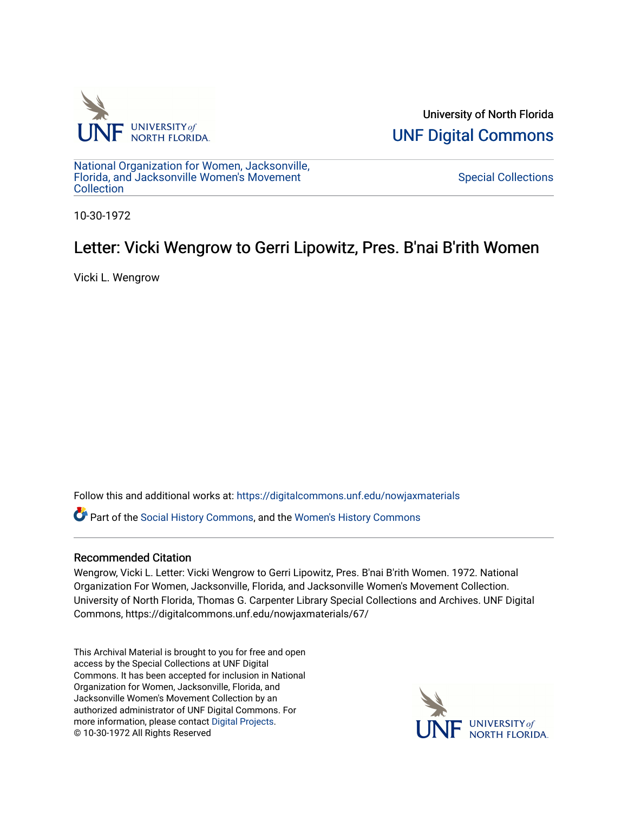

University of North Florida [UNF Digital Commons](https://digitalcommons.unf.edu/) 

[National Organization for Women, Jacksonville,](https://digitalcommons.unf.edu/nowjaxmaterials) [Florida, and Jacksonville Women's Movement](https://digitalcommons.unf.edu/nowjaxmaterials) **Collection** 

[Special Collections](https://digitalcommons.unf.edu/special_collections) 

10-30-1972

## Letter: Vicki Wengrow to Gerri Lipowitz, Pres. B'nai B'rith Women

Vicki L. Wengrow

Follow this and additional works at: [https://digitalcommons.unf.edu/nowjaxmaterials](https://digitalcommons.unf.edu/nowjaxmaterials?utm_source=digitalcommons.unf.edu%2Fnowjaxmaterials%2F67&utm_medium=PDF&utm_campaign=PDFCoverPages) 

Part of the [Social History Commons](http://network.bepress.com/hgg/discipline/506?utm_source=digitalcommons.unf.edu%2Fnowjaxmaterials%2F67&utm_medium=PDF&utm_campaign=PDFCoverPages), and the [Women's History Commons](http://network.bepress.com/hgg/discipline/507?utm_source=digitalcommons.unf.edu%2Fnowjaxmaterials%2F67&utm_medium=PDF&utm_campaign=PDFCoverPages)

## Recommended Citation

Wengrow, Vicki L. Letter: Vicki Wengrow to Gerri Lipowitz, Pres. B'nai B'rith Women. 1972. National Organization For Women, Jacksonville, Florida, and Jacksonville Women's Movement Collection. University of North Florida, Thomas G. Carpenter Library Special Collections and Archives. UNF Digital Commons, https://digitalcommons.unf.edu/nowjaxmaterials/67/

This Archival Material is brought to you for free and open access by the Special Collections at UNF Digital Commons. It has been accepted for inclusion in National Organization for Women, Jacksonville, Florida, and Jacksonville Women's Movement Collection by an authorized administrator of UNF Digital Commons. For more information, please contact [Digital Projects](mailto:lib-digital@unf.edu). © 10-30-1972 All Rights Reserved